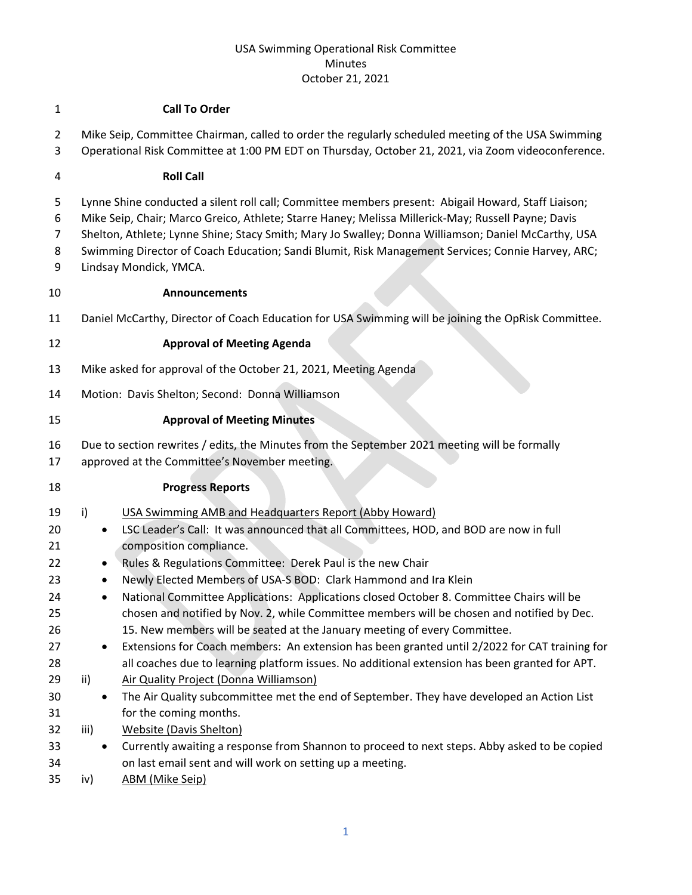### USA Swimming Operational Risk Committee Minutes October 21, 2021

#### **Call To Order**

- Mike Seip, Committee Chairman, called to order the regularly scheduled meeting of the USA Swimming
- Operational Risk Committee at 1:00 PM EDT on Thursday, October 21, 2021, via Zoom videoconference.

#### **Roll Call**

- Lynne Shine conducted a silent roll call; Committee members present: Abigail Howard, Staff Liaison;
- Mike Seip, Chair; Marco Greico, Athlete; Starre Haney; Melissa Millerick-May; Russell Payne; Davis
- Shelton, Athlete; Lynne Shine; Stacy Smith; Mary Jo Swalley; Donna Williamson; Daniel McCarthy, USA
- 8 Swimming Director of Coach Education; Sandi Blumit, Risk Management Services; Connie Harvey, ARC;
- Lindsay Mondick, YMCA.

## **Announcements**

Daniel McCarthy, Director of Coach Education for USA Swimming will be joining the OpRisk Committee.

# **Approval of Meeting Agenda**

- Mike asked for approval of the October 21, 2021, Meeting Agenda
- Motion: Davis Shelton; Second: Donna Williamson

# **Approval of Meeting Minutes**

- Due to section rewrites / edits, the Minutes from the September 2021 meeting will be formally
- approved at the Committee's November meeting.

## **Progress Reports**

- i) USA Swimming AMB and Headquarters Report (Abby Howard)
- LSC Leader's Call: It was announced that all Committees, HOD, and BOD are now in full composition compliance.
- Rules & Regulations Committee: Derek Paul is the new Chair
- Newly Elected Members of USA-S BOD: Clark Hammond and Ira Klein
- 24 National Committee Applications: Applications closed October 8. Committee Chairs will be chosen and notified by Nov. 2, while Committee members will be chosen and notified by Dec. 15. New members will be seated at the January meeting of every Committee.
- Extensions for Coach members: An extension has been granted until 2/2022 for CAT training for all coaches due to learning platform issues. No additional extension has been granted for APT.
- 29 ii) Air Quality Project (Donna Williamson)
- The Air Quality subcommittee met the end of September. They have developed an Action List for the coming months.
- iii) Website (Davis Shelton)
- Currently awaiting a response from Shannon to proceed to next steps. Abby asked to be copied on last email sent and will work on setting up a meeting.
- iv) ABM (Mike Seip)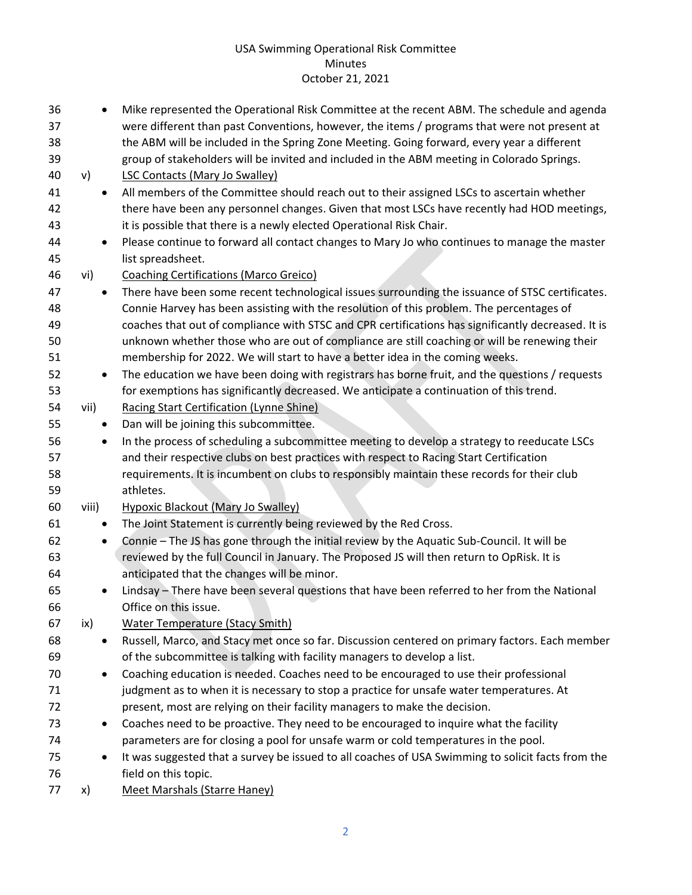## USA Swimming Operational Risk Committee Minutes October 21, 2021

| 36<br>37<br>38<br>39 |       | $\bullet$ | Mike represented the Operational Risk Committee at the recent ABM. The schedule and agenda<br>were different than past Conventions, however, the items / programs that were not present at<br>the ABM will be included in the Spring Zone Meeting. Going forward, every year a different<br>group of stakeholders will be invited and included in the ABM meeting in Colorado Springs. |
|----------------------|-------|-----------|----------------------------------------------------------------------------------------------------------------------------------------------------------------------------------------------------------------------------------------------------------------------------------------------------------------------------------------------------------------------------------------|
| 40                   | v)    |           | <b>LSC Contacts (Mary Jo Swalley)</b>                                                                                                                                                                                                                                                                                                                                                  |
| 41                   |       | $\bullet$ | All members of the Committee should reach out to their assigned LSCs to ascertain whether                                                                                                                                                                                                                                                                                              |
| 42                   |       |           | there have been any personnel changes. Given that most LSCs have recently had HOD meetings,                                                                                                                                                                                                                                                                                            |
| 43                   |       |           | it is possible that there is a newly elected Operational Risk Chair.                                                                                                                                                                                                                                                                                                                   |
| 44                   |       | $\bullet$ | Please continue to forward all contact changes to Mary Jo who continues to manage the master                                                                                                                                                                                                                                                                                           |
| 45                   |       |           | list spreadsheet.                                                                                                                                                                                                                                                                                                                                                                      |
| 46                   | vi)   |           | <b>Coaching Certifications (Marco Greico)</b>                                                                                                                                                                                                                                                                                                                                          |
| 47                   |       | $\bullet$ | There have been some recent technological issues surrounding the issuance of STSC certificates.                                                                                                                                                                                                                                                                                        |
| 48                   |       |           | Connie Harvey has been assisting with the resolution of this problem. The percentages of                                                                                                                                                                                                                                                                                               |
| 49                   |       |           | coaches that out of compliance with STSC and CPR certifications has significantly decreased. It is                                                                                                                                                                                                                                                                                     |
| 50                   |       |           | unknown whether those who are out of compliance are still coaching or will be renewing their                                                                                                                                                                                                                                                                                           |
| 51                   |       |           | membership for 2022. We will start to have a better idea in the coming weeks.                                                                                                                                                                                                                                                                                                          |
| 52                   |       | $\bullet$ | The education we have been doing with registrars has borne fruit, and the questions / requests                                                                                                                                                                                                                                                                                         |
| 53                   |       |           | for exemptions has significantly decreased. We anticipate a continuation of this trend.                                                                                                                                                                                                                                                                                                |
| 54                   | vii)  |           | <b>Racing Start Certification (Lynne Shine)</b>                                                                                                                                                                                                                                                                                                                                        |
| 55                   |       | ٠         | Dan will be joining this subcommittee.                                                                                                                                                                                                                                                                                                                                                 |
| 56                   |       | $\bullet$ | In the process of scheduling a subcommittee meeting to develop a strategy to reeducate LSCs                                                                                                                                                                                                                                                                                            |
| 57                   |       |           | and their respective clubs on best practices with respect to Racing Start Certification                                                                                                                                                                                                                                                                                                |
| 58                   |       |           | requirements. It is incumbent on clubs to responsibly maintain these records for their club                                                                                                                                                                                                                                                                                            |
| 59                   |       |           | athletes.                                                                                                                                                                                                                                                                                                                                                                              |
| 60                   | viii) |           | <b>Hypoxic Blackout (Mary Jo Swalley)</b>                                                                                                                                                                                                                                                                                                                                              |
| 61                   |       | $\bullet$ | The Joint Statement is currently being reviewed by the Red Cross.                                                                                                                                                                                                                                                                                                                      |
| 62                   |       | $\bullet$ | Connie - The JS has gone through the initial review by the Aquatic Sub-Council. It will be                                                                                                                                                                                                                                                                                             |
| 63                   |       |           | reviewed by the full Council in January. The Proposed JS will then return to OpRisk. It is                                                                                                                                                                                                                                                                                             |
| 64                   |       |           | anticipated that the changes will be minor.                                                                                                                                                                                                                                                                                                                                            |
| 65                   |       |           | Lindsay - There have been several questions that have been referred to her from the National                                                                                                                                                                                                                                                                                           |
| 66                   |       |           | Office on this issue.                                                                                                                                                                                                                                                                                                                                                                  |
| 67                   | ix)   |           | Water Temperature (Stacy Smith)                                                                                                                                                                                                                                                                                                                                                        |
| 68                   |       | ٠         | Russell, Marco, and Stacy met once so far. Discussion centered on primary factors. Each member                                                                                                                                                                                                                                                                                         |
| 69                   |       |           | of the subcommittee is talking with facility managers to develop a list.                                                                                                                                                                                                                                                                                                               |
| 70                   |       | $\bullet$ | Coaching education is needed. Coaches need to be encouraged to use their professional                                                                                                                                                                                                                                                                                                  |
| 71                   |       |           | judgment as to when it is necessary to stop a practice for unsafe water temperatures. At                                                                                                                                                                                                                                                                                               |
| 72                   |       |           | present, most are relying on their facility managers to make the decision.                                                                                                                                                                                                                                                                                                             |
| 73                   |       | ٠         | Coaches need to be proactive. They need to be encouraged to inquire what the facility                                                                                                                                                                                                                                                                                                  |
| 74                   |       |           | parameters are for closing a pool for unsafe warm or cold temperatures in the pool.                                                                                                                                                                                                                                                                                                    |
| 75                   |       | $\bullet$ | It was suggested that a survey be issued to all coaches of USA Swimming to solicit facts from the                                                                                                                                                                                                                                                                                      |
| 76                   |       |           | field on this topic.                                                                                                                                                                                                                                                                                                                                                                   |
| 77                   | x)    |           | Meet Marshals (Starre Haney)                                                                                                                                                                                                                                                                                                                                                           |
|                      |       |           |                                                                                                                                                                                                                                                                                                                                                                                        |